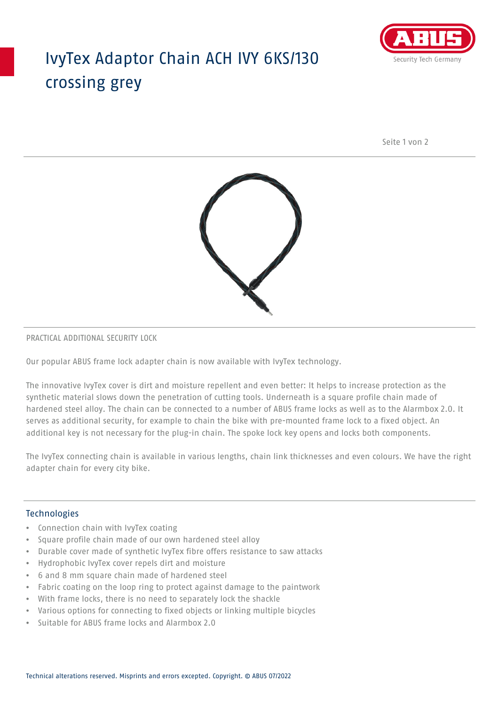## IvyTex Adaptor Chain ACH IVY 6KS/130 crossing grey



Seite 1 von 2



### PRACTICAL ADDITIONAL SECURITY LOCK

Our popular ABUS frame lock adapter chain is now available with IvyTex technology.

The innovative IvyTex cover is dirt and moisture repellent and even better: It helps to increase protection as the synthetic material slows down the penetration of cutting tools. Underneath is a square profile chain made of hardened steel alloy. The chain can be connected to a number of ABUS frame locks as well as to the Alarmbox 2.0. It serves as additional security, for example to chain the bike with pre-mounted frame lock to a fixed object. An additional key is not necessary for the plug-in chain. The spoke lock key opens and locks both components.

The IvyTex connecting chain is available in various lengths, chain link thicknesses and even colours. We have the right adapter chain for every city bike.

### Technologies

- Connection chain with IvyTex coating
- Square profile chain made of our own hardened steel alloy
- Durable cover made of synthetic IvyTex fibre offers resistance to saw attacks
- Hydrophobic IvyTex cover repels dirt and moisture
- 6 and 8 mm square chain made of hardened steel
- Fabric coating on the loop ring to protect against damage to the paintwork
- With frame locks, there is no need to separately lock the shackle
- Various options for connecting to fixed objects or linking multiple bicycles
- Suitable for ABUS frame locks and Alarmbox 2.0